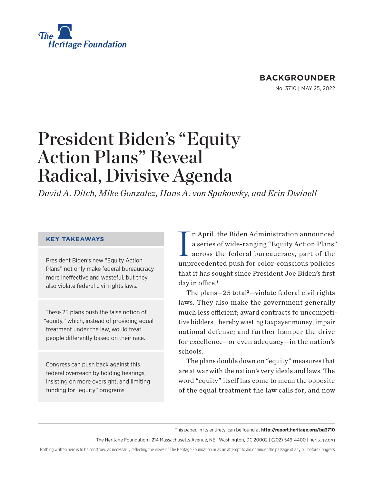<span id="page-0-0"></span>

## **BACKGROUNDER**

No. 3710 | May 25, 2022

# President Biden's "Equity Action Plans" Reveal Radical, Divisive Agenda

*David A. Ditch, Mike Gonzalez, Hans A. von Spakovsky, and Erin Dwinell* 

#### **KEY TAKEAWAYS**

President Biden's new "Equity Action Plans" not only make federal bureaucracy more ineffective and wasteful, but they also violate federal civil rights laws.

These 25 plans push the false notion of "equity," which, instead of providing equal treatment under the law, would treat people differently based on their race.

Congress can push back against this federal overreach by holding hearings, insisting on more oversight, and limiting funding for "equity" programs.

I n April, the Biden Administration announced a series of wide-ranging "Equity Action Plans" across the federal bureaucracy, part of the unprecedented push for color-conscious policies that it has sought since President Joe Biden's first day in office. $1$ 

The plans-[2](#page-11-0)5 total<sup>2</sup>-violate federal civil rights laws. They also make the government generally much less efficient; award contracts to uncompetitive bidders, thereby wasting taxpayer money; impair national defense; and further hamper the drive for excellence—or even adequacy—in the nation's schools.

The plans double down on "equity" measures that are at war with the nation's very ideals and laws. The word "equity" itself has come to mean the opposite of the equal treatment the law calls for, and now

This paper, in its entirety, can be found at **http://report.heritage.org/bg3710**

The Heritage Foundation | 214 Massachusetts Avenue, NE | Washington, DC 20002 | (202) 546-4400 | [heritage.org](https://www.hhs.gov/about/news/2018/09/24/statement-from-the-department-of-health-and-human-services.html)

Nothing written here is to be construed as necessarily reflecting the views of The Heritage Foundation or as an attempt to aid or hinder the passage of any bill before Congress.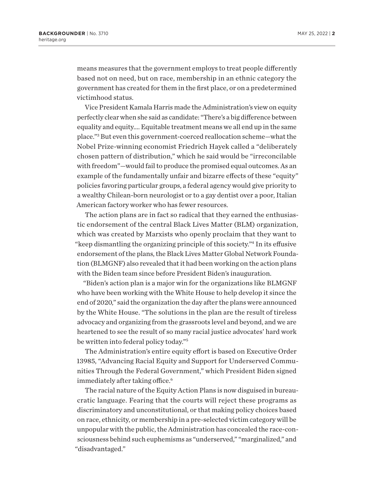<span id="page-1-0"></span>means measures that the government employs to treat people differently based not on need, but on race, membership in an ethnic category the government has created for them in the first place, or on a predetermined victimhood status.

Vice President Kamala Harris made the Administration's view on equity perfectly clear when she said as candidate: "There's a big difference between equality and equity…. Equitable treatment means we all end up in the same place.["3](#page-11-0) But even this government-coerced reallocation scheme—what the Nobel Prize-winning economist Friedrich Hayek called a "deliberately chosen pattern of distribution," which he said would be "irreconcilable with freedom"—would fail to produce the promised equal outcomes. As an example of the fundamentally unfair and bizarre effects of these "equity" policies favoring particular groups, a federal agency would give priority to a wealthy Chilean-born neurologist or to a gay dentist over a poor, Italian American factory worker who has fewer resources.

The action plans are in fact so radical that they earned the enthusiastic endorsement of the central Black Lives Matter (BLM) organization, which was created by Marxists who openly proclaim that they want to "keep dismantling the organizing principle of this society.["4](#page-11-0) In its effusive endorsement of the plans, the Black Lives Matter Global Network Foundation (BLMGNF) also revealed that it had been working on the action plans with the Biden team since before President Biden's inauguration.

"Biden's action plan is a major win for the organizations like BLMGNF who have been working with the White House to help develop it since the end of 2020," said the organization the day after the plans were announced by the White House. "The solutions in the plan are the result of tireless advocacy and organizing from the grassroots level and beyond, and we are heartened to see the result of so many racial justice advocates' hard work be written into federal policy today."[5](#page-11-0)

The Administration's entire equity effort is based on Executive Order 13985, "Advancing Racial Equity and Support for Underserved Communities Through the Federal Government," which President Biden signed immediately after taking office.<sup>6</sup>

The racial nature of the Equity Action Plans is now disguised in bureaucratic language. Fearing that the courts will reject these programs as discriminatory and unconstitutional, or that making policy choices based on race, ethnicity, or membership in a pre-selected victim category will be unpopular with the public, the Administration has concealed the race-consciousness behind such euphemisms as "underserved," "marginalized," and "disadvantaged."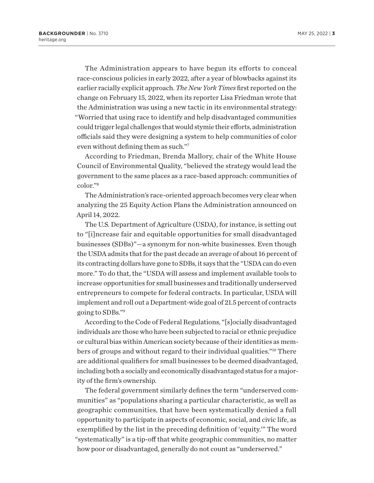<span id="page-2-0"></span>The Administration appears to have begun its efforts to conceal race-conscious policies in early 2022, after a year of blowbacks against its earlier racially explicit approach. *The New York Times* first reported on the change on February 15, 2022, when its reporter Lisa Friedman wrote that the Administration was using a new tactic in its environmental strategy: "Worried that using race to identify and help disadvantaged communities could trigger legal challenges that would stymie their efforts, administration officials said they were designing a system to help communities of color even without defining them as such."[7](#page-11-0)

According to Friedman, Brenda Mallory, chair of the White House Council of Environmental Quality, "believed the strategy would lead the government to the same places as a race-based approach: communities of color.["8](#page-11-0)

The Administration's race-oriented approach becomes very clear when analyzing the 25 Equity Action Plans the Administration announced on April 14, 2022.

The U.S. Department of Agriculture (USDA), for instance, is setting out to "[i]ncrease fair and equitable opportunities for small disadvantaged businesses (SDBs)"—a synonym for non-white businesses. Even though the USDA admits that for the past decade an average of about 16 percent of its contracting dollars have gone to SDBs, it says that the "USDA can do even more." To do that, the "USDA will assess and implement available tools to increase opportunities for small businesses and traditionally underserved entrepreneurs to compete for federal contracts. In particular, USDA will implement and roll out a Department-wide goal of 21.5 percent of contracts going to SDBs.["9](#page-11-0)

According to the Code of Federal Regulations, "[s]ocially disadvantaged individuals are those who have been subjected to racial or ethnic prejudice or cultural bias within American society because of their identities as members of groups and without regard to their individual qualities."[10](#page-11-0) There are additional qualifiers for small businesses to be deemed disadvantaged, including both a socially and economically disadvantaged status for a majority of the firm's ownership.

The federal government similarly defines the term "underserved communities" as "populations sharing a particular characteristic, as well as geographic communities, that have been systematically denied a full opportunity to participate in aspects of economic, social, and civic life, as exemplified by the list in the preceding definition of 'equity.'" The word "systematically" is a tip-off that white geographic communities, no matter how poor or disadvantaged, generally do not count as "underserved."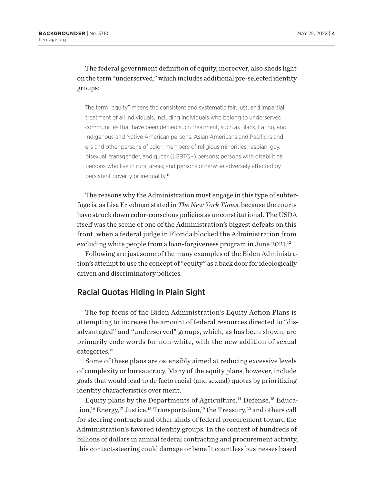<span id="page-3-0"></span>The federal government definition of equity, moreover, also sheds light on the term "underserved," which includes additional pre-selected identity groups:

The term "equity" means the consistent and systematic fair, just, and impartial treatment of all individuals, including individuals who belong to underserved communities that have been denied such treatment, such as Black, Latino, and Indigenous and Native American persons, Asian Americans and Pacific Islanders and other persons of color; members of religious minorities; lesbian, gay, bisexual, transgender, and queer (LGBTQ+) persons; persons with disabilities; persons who live in rural areas; and persons otherwise adversely affected by persistent poverty or inequality.<sup>[11](#page-11-0)</sup>

The reasons why the Administration must engage in this type of subterfuge is, as Lisa Friedman stated in *The New York Times*, because the courts have struck down color-conscious policies as unconstitutional. The USDA itself was the scene of one of the Administration's biggest defeats on this front, when a federal judge in Florida blocked the Administration from excluding white people from a loan-forgiveness program in June 2021.<sup>12</sup>

Following are just some of the many examples of the Biden Administration's attempt to use the concept of "equity" as a back door for ideologically driven and discriminatory policies.

#### Racial Quotas Hiding in Plain Sight

The top focus of the Biden Administration's Equity Action Plans is attempting to increase the amount of federal resources directed to "disadvantaged" and "underserved" groups, which, as has been shown, are primarily code words for non-white, with the new addition of sexual categories.<sup>13</sup>

Some of these plans are ostensibly aimed at reducing excessive levels of complexity or bureaucracy. Many of the equity plans, however, include goals that would lead to de facto racial (and sexual) quotas by prioritizing identity characteristics over merit.

Equity plans by the Departments of Agriculture, $14$  Defense, $15$  Educa-tion,<sup>16</sup> Energy,<sup>17</sup> Justice,<sup>[18](#page-11-0)</sup> Transportation,<sup>19</sup> the Treasury,<sup>[20](#page-11-0)</sup> and others call for steering contracts and other kinds of federal procurement toward the Administration's favored identity groups. In the context of hundreds of billions of dollars in annual federal contracting and procurement activity, this contact-steering could damage or benefit countless businesses based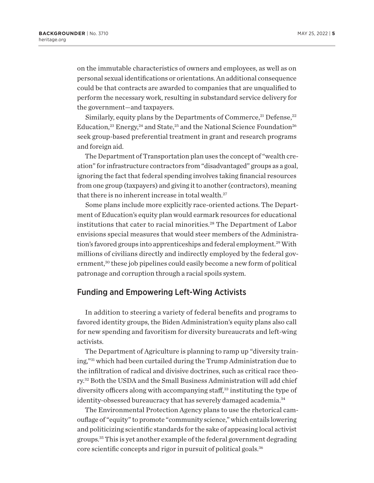<span id="page-4-0"></span>on the immutable characteristics of owners and employees, as well as on personal sexual identifications or orientations. An additional consequence could be that contracts are awarded to companies that are unqualified to perform the necessary work, resulting in substandard service delivery for the government—and taxpayers.

Similarly, equity plans by the Departments of Commerce, $^{21}$  Defense, $^{22}$ Education,<sup>[23](#page-11-0)</sup> Energy,<sup>[24](#page-11-0)</sup> and State,<sup>25</sup> and the National Science Foundation<sup>26</sup> seek group-based preferential treatment in grant and research programs and foreign aid.

The Department of Transportation plan uses the concept of "wealth creation" for infrastructure contractors from "disadvantaged" groups as a goal, ignoring the fact that federal spending involves taking financial resources from one group (taxpayers) and giving it to another (contractors), meaning that there is no inherent increase in total wealth.<sup>[27](#page-12-0)</sup>

Some plans include more explicitly race-oriented actions. The Department of Education's equity plan would earmark resources for educational institutions that cater to racial minorities.<sup>28</sup> The Department of Labor envisions special measures that would steer members of the Administra-tion's favored groups into apprenticeships and federal employment.<sup>[29](#page-12-0)</sup> With millions of civilians directly and indirectly employed by the federal government,<sup>30</sup> these job pipelines could easily become a new form of political patronage and corruption through a racial spoils system.

#### Funding and Empowering Left-Wing Activists

In addition to steering a variety of federal benefits and programs to favored identity groups, the Biden Administration's equity plans also call for new spending and favoritism for diversity bureaucrats and left-wing activists.

The Department of Agriculture is planning to ramp up "diversity training,"[31](#page-12-0) which had been curtailed during the Trump Administration due to the infiltration of radical and divisive doctrines, such as critical race theory.[32](#page-12-0) Both the USDA and the Small Business Administration will add chief diversity officers along with accompanying staff,<sup>[33](#page-12-0)</sup> instituting the type of identity-obsessed bureaucracy that has severely damaged academia.<sup>[34](#page-12-0)</sup>

The Environmental Protection Agency plans to use the rhetorical camouflage of "equity" to promote "community science," which entails lowering and politicizing scientific standards for the sake of appeasing local activist groups.[35](#page-12-0) This is yet another example of the federal government degrading core scientific concepts and rigor in pursuit of political goals.[36](#page-12-0)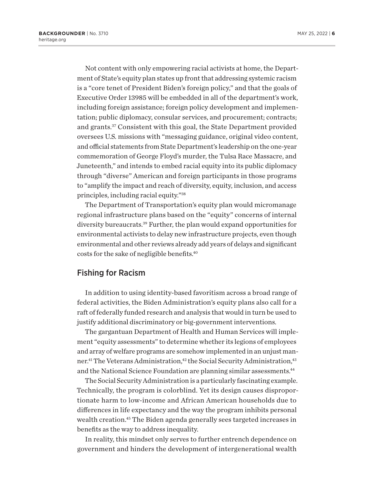<span id="page-5-0"></span>Not content with only empowering racial activists at home, the Department of State's equity plan states up front that addressing systemic racism is a "core tenet of President Biden's foreign policy," and that the goals of Executive Order 13985 will be embedded in all of the department's work, including foreign assistance; foreign policy development and implementation; public diplomacy, consular services, and procurement; contracts; and grants[.37](#page-12-0) Consistent with this goal, the State Department provided oversees U.S. missions with "messaging guidance, original video content, and official statements from State Department's leadership on the one-year commemoration of George Floyd's murder, the Tulsa Race Massacre, and Juneteenth," and intends to embed racial equity into its public diplomacy through "diverse" American and foreign participants in those programs to "amplify the impact and reach of diversity, equity, inclusion, and access principles, including racial equity.["38](#page-12-0)

The Department of Transportation's equity plan would micromanage regional infrastructure plans based on the "equity" concerns of internal diversity bureaucrats[.39](#page-12-0) Further, the plan would expand opportunities for environmental activists to delay new infrastructure projects, even though environmental and other reviews already add years of delays and significant costs for the sake of negligible benefits[.40](#page-12-0)

#### Fishing for Racism

In addition to using identity-based favoritism across a broad range of federal activities, the Biden Administration's equity plans also call for a raft of federally funded research and analysis that would in turn be used to justify additional discriminatory or big-government interventions.

The gargantuan Department of Health and Human Services will implement "equity assessments" to determine whether its legions of employees and array of welfare programs are somehow implemented in an unjust manner.<sup>41</sup> The Veterans Administration,<sup>42</sup> the Social Security Administration,<sup>43</sup> and the National Science Foundation are planning similar assessments.<sup>44</sup>

The Social Security Administration is a particularly fascinating example. Technically, the program is colorblind. Yet its design causes disproportionate harm to low-income and African American households due to differences in life expectancy and the way the program inhibits personal wealth creation[.45](#page-12-0) The Biden agenda generally sees targeted increases in benefits as the way to address inequality.

In reality, this mindset only serves to further entrench dependence on government and hinders the development of intergenerational wealth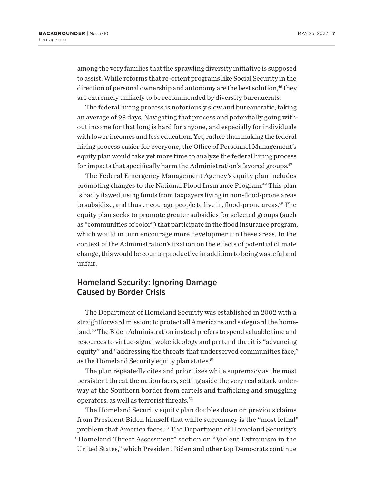<span id="page-6-0"></span>among the very families that the sprawling diversity initiative is supposed to assist. While reforms that re-orient programs like Social Security in the direction of personal ownership and autonomy are the best solution, $46$  they are extremely unlikely to be recommended by diversity bureaucrats.

The federal hiring process is notoriously slow and bureaucratic, taking an average of 98 days. Navigating that process and potentially going without income for that long is hard for anyone, and especially for individuals with lower incomes and less education. Yet, rather than making the federal hiring process easier for everyone, the Office of Personnel Management's equity plan would take yet more time to analyze the federal hiring process for impacts that specifically harm the Administration's favored groups.<sup>47</sup>

The Federal Emergency Management Agency's equity plan includes promoting changes to the National Flood Insurance Program[.48](#page-12-0) This plan is badly flawed, using funds from taxpayers living in non-flood-prone areas to subsidize, and thus encourage people to live in, flood-prone areas.<sup>49</sup> The equity plan seeks to promote greater subsidies for selected groups (such as "communities of color") that participate in the flood insurance program, which would in turn encourage more development in these areas. In the context of the Administration's fixation on the effects of potential climate change, this would be counterproductive in addition to being wasteful and unfair.

## Homeland Security: Ignoring Damage Caused by Border Crisis

The Department of Homeland Security was established in 2002 with a straightforward mission: to protect all Americans and safeguard the homeland.[50](#page-13-0) The Biden Administration instead prefers to spend valuable time and resources to virtue-signal woke ideology and pretend that it is "advancing equity" and "addressing the threats that underserved communities face," as the Homeland Security equity plan states.<sup>[51](#page-13-0)</sup>

The plan repeatedly cites and prioritizes white supremacy as the most persistent threat the nation faces, setting aside the very real attack underway at the Southern border from cartels and trafficking and smuggling operators, as well as terrorist threats.[52](#page-13-0)

The Homeland Security equity plan doubles down on previous claims from President Biden himself that white supremacy is the "most lethal" problem that America faces[.53](#page-13-0) The Department of Homeland Security's "Homeland Threat Assessment" section on "Violent Extremism in the United States," which President Biden and other top Democrats continue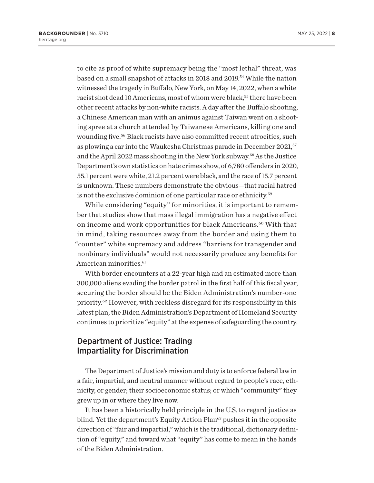<span id="page-7-0"></span>to cite as proof of white supremacy being the "most lethal" threat, was based on a small snapshot of attacks in 2018 and 2019[.54](#page-13-0) While the nation witnessed the tragedy in Buffalo, New York, on May 14, 2022, when a white racist shot dead 10 Americans, most of whom were black,<sup>55</sup> there have been other recent attacks by non-white racists. A day after the Buffalo shooting, a Chinese American man with an animus against Taiwan went on a shooting spree at a church attended by Taiwanese Americans, killing one and wounding five.<sup>56</sup> Black racists have also committed recent atrocities, such as plowing a car into the Waukesha Christmas parade in December 2021,<sup>[57](#page-13-0)</sup> and the April 2022 mass shooting in the New York subway[.58](#page-13-0) As the Justice Department's own statistics on hate crimes show, of 6,780 offenders in 2020, 55.1 percent were white, 21.2 percent were black, and the race of 15.7 percent is unknown. These numbers demonstrate the obvious—that racial hatred is not the exclusive dominion of one particular race or ethnicity[.59](#page-13-0)

While considering "equity" for minorities, it is important to remember that studies show that mass illegal immigration has a negative effect on income and work opportunities for black Americans.<sup>60</sup> With that in mind, taking resources away from the border and using them to "counter" white supremacy and address "barriers for transgender and nonbinary individuals" would not necessarily produce any benefits for American minorities.<sup>[61](#page-13-0)</sup>

With border encounters at a 22-year high and an estimated more than 300,000 aliens evading the border patrol in the first half of this fiscal year, securing the border should be the Biden Administration's number-one priority.[62](#page-13-0) However, with reckless disregard for its responsibility in this latest plan, the Biden Administration's Department of Homeland Security continues to prioritize "equity" at the expense of safeguarding the country.

### Department of Justice: Trading Impartiality for Discrimination

The Department of Justice's mission and duty is to enforce federal law in a fair, impartial, and neutral manner without regard to people's race, ethnicity, or gender; their socioeconomic status; or which "community" they grew up in or where they live now.

It has been a historically held principle in the U.S. to regard justice as blind. Yet the department's Equity Action Plan<sup>63</sup> pushes it in the opposite direction of "fair and impartial," which is the traditional, dictionary definition of "equity," and toward what "equity" has come to mean in the hands of the Biden Administration.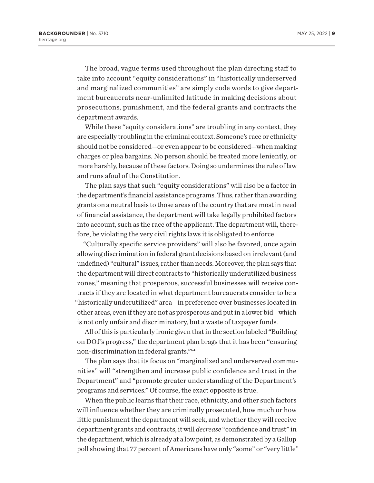<span id="page-8-0"></span>The broad, vague terms used throughout the plan directing staff to take into account "equity considerations" in "historically underserved and marginalized communities" are simply code words to give department bureaucrats near-unlimited latitude in making decisions about prosecutions, punishment, and the federal grants and contracts the department awards.

While these "equity considerations" are troubling in any context, they are especially troubling in the criminal context. Someone's race or ethnicity should not be considered—or even appear to be considered—when making charges or plea bargains. No person should be treated more leniently, or more harshly, because of these factors. Doing so undermines the rule of law and runs afoul of the Constitution.

The plan says that such "equity considerations" will also be a factor in the department's financial assistance programs. Thus, rather than awarding grants on a neutral basis to those areas of the country that are most in need of financial assistance, the department will take legally prohibited factors into account, such as the race of the applicant. The department will, therefore, be violating the very civil rights laws it is obligated to enforce.

"Culturally specific service providers" will also be favored, once again allowing discrimination in federal grant decisions based on irrelevant (and undefined) "cultural" issues, rather than needs. Moreover, the plan says that the department will direct contracts to "historically underutilized business zones," meaning that prosperous, successful businesses will receive contracts if they are located in what department bureaucrats consider to be a "historically underutilized" area—in preference over businesses located in other areas, even if they are not as prosperous and put in a lower bid—which is not only unfair and discriminatory, but a waste of taxpayer funds.

All of this is particularly ironic given that in the section labeled "Building on DOJ's progress," the department plan brags that it has been "ensuring non-discrimination in federal grants."[64](#page-13-0)

The plan says that its focus on "marginalized and underserved communities" will "strengthen and increase public confidence and trust in the Department" and "promote greater understanding of the Department's programs and services." Of course, the exact opposite is true.

When the public learns that their race, ethnicity, and other such factors will influence whether they are criminally prosecuted, how much or how little punishment the department will seek, and whether they will receive department grants and contracts, it will *decrease* "confidence and trust" in the department, which is already at a low point, as demonstrated by a Gallup poll showing that 77 percent of Americans have only "some" or "very little"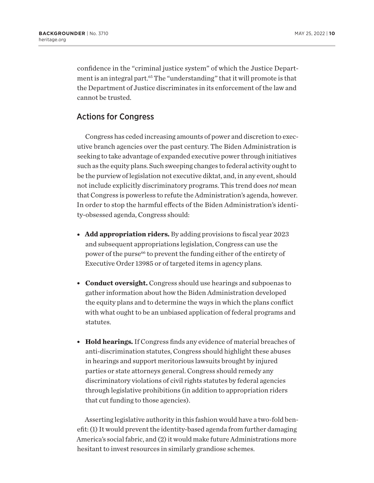<span id="page-9-0"></span>confidence in the "criminal justice system" of which the Justice Department is an integral part.<sup>65</sup> The "understanding" that it will promote is that the Department of Justice discriminates in its enforcement of the law and cannot be trusted.

# Actions for Congress

Congress has ceded increasing amounts of power and discretion to executive branch agencies over the past century. The Biden Administration is seeking to take advantage of expanded executive power through initiatives such as the equity plans. Such sweeping changes to federal activity ought to be the purview of legislation not executive diktat, and, in any event, should not include explicitly discriminatory programs. This trend does *not* mean that Congress is powerless to refute the Administration's agenda, however. In order to stop the harmful effects of the Biden Administration's identity-obsessed agenda, Congress should:

- **Add appropriation riders.** By adding provisions to fiscal year 2023 and subsequent appropriations legislation, Congress can use the power of the purse<sup>66</sup> to prevent the funding either of the entirety of Executive Order 13985 or of targeted items in agency plans.
- **Conduct oversight.** Congress should use hearings and subpoenas to gather information about how the Biden Administration developed the equity plans and to determine the ways in which the plans conflict with what ought to be an unbiased application of federal programs and statutes.
- **Hold hearings.** If Congress finds any evidence of material breaches of anti-discrimination statutes, Congress should highlight these abuses in hearings and support meritorious lawsuits brought by injured parties or state attorneys general. Congress should remedy any discriminatory violations of civil rights statutes by federal agencies through legislative prohibitions (in addition to appropriation riders that cut funding to those agencies).

Asserting legislative authority in this fashion would have a two-fold benefit: (1) It would prevent the identity-based agenda from further damaging America's social fabric, and (2) it would make future Administrations more hesitant to invest resources in similarly grandiose schemes.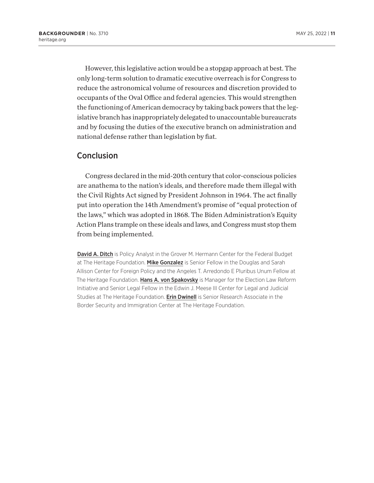However, this legislative action would be a stopgap approach at best. The only long-term solution to dramatic executive overreach is for Congress to reduce the astronomical volume of resources and discretion provided to occupants of the Oval Office and federal agencies. This would strengthen the functioning of American democracy by taking back powers that the legislative branch has inappropriately delegated to unaccountable bureaucrats and by focusing the duties of the executive branch on administration and national defense rather than legislation by fiat.

#### **Conclusion**

Congress declared in the mid-20th century that color-conscious policies are anathema to the nation's ideals, and therefore made them illegal with the Civil Rights Act signed by President Johnson in 1964. The act finally put into operation the 14th Amendment's promise of "equal protection of the laws," which was adopted in 1868. The Biden Administration's Equity Action Plans trample on these ideals and laws, and Congress must stop them from being implemented.

**David A. Ditch** is Policy Analyst in the Grover M. Hermann Center for the Federal Budget at The Heritage Foundation. Mike Gonzalez is Senior Fellow in the Douglas and Sarah Allison Center for Foreign Policy and the Angeles T. Arredondo E Pluribus Unum Fellow at The Heritage Foundation. Hans A. von Spakovsky is Manager for the Election Law Reform Initiative and Senior Legal Fellow in the Edwin J. Meese III Center for Legal and Judicial Studies at The Heritage Foundation. **Erin Dwinell** is Senior Research Associate in the Border Security and Immigration Center at The Heritage Foundation.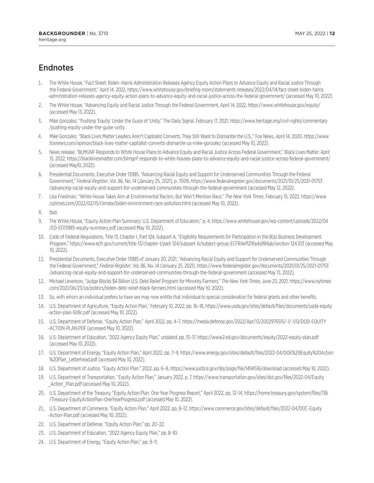# <span id="page-11-0"></span>**Endnotes**

- [1.](#page-0-0) The White House, "Fact Sheet: Biden–Harris Administration Releases Agency Equity Action Plans to Advance Equity and Racial Justice Through the Federal Government," April 14, 2022, [https://www.whitehouse.gov/briefing-room/statements-releases/2022/04/14/fact-sheet-biden-harris](https://www.whitehouse.gov/briefing-room/statements-releases/2022/04/14/fact-sheet-biden-harris-administration-releases-agency-equity-action-plans-to-advance-equity-and-racial-justice-across-the-federal-government/) [-administration-releases-agency-equity-action-plans-to-advance-equity-and-racial-justice-across-the-federal-government/](https://www.whitehouse.gov/briefing-room/statements-releases/2022/04/14/fact-sheet-biden-harris-administration-releases-agency-equity-action-plans-to-advance-equity-and-racial-justice-across-the-federal-government/) (accessed May 10, 2022).
- [2](#page-0-0). The White House, "Advancing Equity and Racial Justice Through the Federal Government, April 14, 2022,<https://www.whitehouse.gov/equity/> (accessed May 13, 2022).
- [3.](#page-1-0) Mike Gonzalez, "Pushing 'Equity' Under the Guise of 'Unity," The Daily Signal, February 17, 2021, [https://www.heritage.org/civil-rights/commentary](https://www.heritage.org/civil-rights/commentary/pushing-equity-under-the-guise-unity) [/pushing-equity-under-the-guise-unity](https://www.heritage.org/civil-rights/commentary/pushing-equity-under-the-guise-unity).
- [4.](#page-1-0) Mike Gonzalez, "Black Lives Matter Leaders Aren't Capitalist Converts, They Still Want to Dismantle the U.S.," Fox News, April 14, 2020, [https://www](https://www.foxnews.com/opinion/black-lives-matter-capitalist-converts-dismantle-us-mike-gonzalez) [.foxnews.com/opinion/black-lives-matter-capitalist-converts-dismantle-us-mike-gonzalez](https://www.foxnews.com/opinion/black-lives-matter-capitalist-converts-dismantle-us-mike-gonzalez) (accessed May 10, 2022).
- [5](#page-1-0). News release, "BLMGNF Responds to White House Plans to Advance Equity and Racial Justice Across Federal Government," Black Lives Matter, April 15, 2022, <https://blacklivesmatter.com/blmgnf-responds-to-white-houses-plans-to-advance-equity-and-racial-justice-across-federal-government/> (accessed May10, 2022).
- [6](#page-1-0). Presidential Documents, Executive Order 13985, "Advancing Racial Equity and Support for Underserved Communities Through the Federal Government," *Federal Register*, Vol. 86, No. 14 (January 25, 2021), p. 7009, [https://www.federalregister.gov/documents/2021/01/25/2021-01753](https://www.federalregister.gov/documents/2021/01/25/2021-01753/advancing-racial-equity-and-support-for-underserved-communities-through-the-federal-government) [/advancing-racial-equity-and-support-for-underserved-communities-through-the-federal-government](https://www.federalregister.gov/documents/2021/01/25/2021-01753/advancing-racial-equity-and-support-for-underserved-communities-through-the-federal-government) (accessed May 12, 2022).
- [7.](#page-2-0) Lisa Friedman, "White House Takes Aim at Environmental Racism, But Won't Mention Race," *The New York Times*, February 15, 2022. [https://www](https://www.nytimes.com/2022/02/15/climate/biden-environment-race-pollution.html) [.nytimes.com/2022/02/15/climate/biden-environment-race-pollution.html](https://www.nytimes.com/2022/02/15/climate/biden-environment-race-pollution.html) (accessed May 10, 2022).
- [8](#page-2-0). Ibid.
- [9](#page-2-0). The White House, "Equity Action Plan Summary: U.S. Department of Education," p. 4, [https://www.whitehouse.gov/wp-content/uploads/2022/04](https://www.whitehouse.gov/wp-content/uploads/2022/04/ED-EO13985-equity-summary.pdf) [/ED-EO13985-equity-summary.pdf](https://www.whitehouse.gov/wp-content/uploads/2022/04/ED-EO13985-equity-summary.pdf) (accessed May 10, 2022).
- [10.](#page-2-0) Code of Federal Regulations, Title 13, Chapter I, Part 124, Subpart A, "Eligibility Requirements for Participation in the 8(a) Business Development Program," <https://www.ecfr.gov/current/title-13/chapter-I/part-124/subpart-A/subject-group-ECFR4ef1291a4a984ab/section-124.103> (accessed May 10, 2022).
- [11.](#page-3-0) Presidential Documents, Executive Order 13985 of January 20, 2021, "Advancing Racial Equity and Support for Underserved Communities Through the Federal Government," *Federal Register*, Vol. 86, No. 14 (January 25, 2021), [https://www.federalregister.gov/documents/2021/01/25/2021-01753](https://www.federalregister.gov/documents/2021/01/25/2021-01753/advancing-racial-equity-and-support-for-underserved-communities-through-the-federal-government) [/advancing-racial-equity-and-support-for-underserved-communities-through-the-federal-government](https://www.federalregister.gov/documents/2021/01/25/2021-01753/advancing-racial-equity-and-support-for-underserved-communities-through-the-federal-government) (accessed May 13, 2022).
- [12.](#page-3-0) Michael Levenson, "Judge Blocks \$4 Billion U.S. Debt Relief Program for Minority Farmers," *The New York Times*, June 23, 2021, [https://www.nytimes](https://www.nytimes.com/2021/06/23/us/politics/biden-debt-relief-black-farmers.html) [.com/2021/06/23/us/politics/biden-debt-relief-black-farmers.html](https://www.nytimes.com/2021/06/23/us/politics/biden-debt-relief-black-farmers.html) (accessed May 10, 2022).
- [13.](#page-3-0) So, with whom an individual prefers to have sex may now entitle that individual to special consideration for federal grants and other benefits.
- [14.](#page-3-0) U.S. Department of Agriculture, "Equity Action Plan," February 10, 2022, pp. 16–18, [https://www.usda.gov/sites/default/files/documents/usda-equity](https://www.usda.gov/sites/default/files/documents/usda-equity-action-plan-508c.pdf) [-action-plan-508c.pdf](https://www.usda.gov/sites/default/files/documents/usda-equity-action-plan-508c.pdf) (accessed May 10, 2022).
- [15.](#page-3-0) U.S. Department of Defense, "Equity Action Plan," April 2022, pp. 4–7, [https://media.defense.gov/2022/Apr/13/2002976515/-1/-1/0/DOD-EQUITY](https://media.defense.gov/2022/Apr/13/2002976515/-1/-1/0/DOD-EQUITY-ACTION-PLAN.PDF) [-ACTION-PLAN.PDF](https://media.defense.gov/2022/Apr/13/2002976515/-1/-1/0/DOD-EQUITY-ACTION-PLAN.PDF) (accessed May 10, 2022).
- [16.](#page-3-0) U.S. Department of Education, "2022 Agency Equity Plan," undated, pp. 15–17,<https://www2.ed.gov/documents/equity/2022-equity-plan.pdf> (accessed May 10, 2022).
- [17.](#page-3-0) U.S. Department of Energy, "Equity Action Plan," April 2022, pp. 7–9, [https://www.energy.gov/sites/default/files/2022-04/DOE%20Equity%20Action](https://www.energy.gov/sites/default/files/2022-04/DOE%20Equity%20Action%20Plan_Letterhead.pdf) [%20Plan\\_Letterhead.pdf](https://www.energy.gov/sites/default/files/2022-04/DOE%20Equity%20Action%20Plan_Letterhead.pdf) (accessed May 10, 2022).
- [18.](#page-3-0) U.S. Department of Justice, "Equity Action Plan," 2022, pp. 6–8,<https://www.justice.gov/doj/page/file/1494516/download> (accessed May 10, 2022).
- [19.](#page-3-0) U.S. Department of Transportation, "Equity Action Plan," January 2022, p. 7, [https://www.transportation.gov/sites/dot.gov/files/2022-04/Equity](https://www.transportation.gov/sites/dot.gov/files/2022-04/Equity_Action_Plan.pdf) [\\_Action\\_Plan.pdf](https://www.transportation.gov/sites/dot.gov/files/2022-04/Equity_Action_Plan.pdf) (accessed May 10, 2022).
- [20](#page-3-0). U.S. Department of the Treasury, "Equity Action Plan: One Year Progress Report," April 2022, pp. 12–14, [https://home.treasury.gov/system/files/136](https://home.treasury.gov/system/files/136/Treasury-EquityActionPlan-OneYearProgress.pdf) [/Treasury-EquityActionPlan-OneYearProgress.pdf](https://home.treasury.gov/system/files/136/Treasury-EquityActionPlan-OneYearProgress.pdf) (accessed May 10, 2022).
- [21](#page-4-0). U.S. Department of Commerce, "Equity Action Plan," April 2022, pp. 8–12, [https://www.commerce.gov/sites/default/files/2022-04/DOC-Equity](https://www.commerce.gov/sites/default/files/2022-04/DOC-Equity-Action-Plan.pdf) [-Action-Plan.pdf](https://www.commerce.gov/sites/default/files/2022-04/DOC-Equity-Action-Plan.pdf) (accessed May 10, 2022).
- [22](#page-4-0). U.S. Department of Defense, "Equity Action Plan," pp. 20–22.
- [23](#page-4-0). U.S. Department of Education, "2022 Agency Equity Plan," pp. 8–10.
- [24](#page-4-0). U.S. Department of Energy, "Equity Action Plan," pp. 9–11.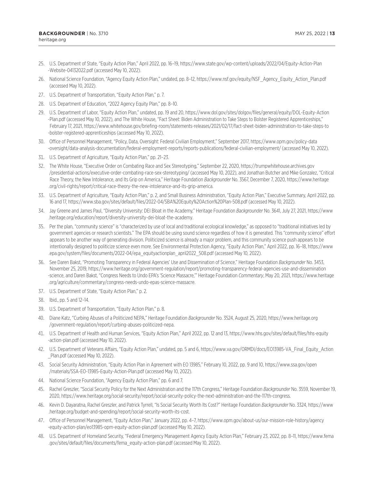- <span id="page-12-0"></span>[25](#page-4-0). U.S. Department of State, "Equity Action Plan," April 2022, pp. 16–19, [https://www.state.gov/wp-content/uploads/2022/04/Equity-Action-Plan](https://www.state.gov/wp-content/uploads/2022/04/Equity-Action-Plan-Website-04132022.pdf) [-Website-04132022.pdf](https://www.state.gov/wp-content/uploads/2022/04/Equity-Action-Plan-Website-04132022.pdf) (accessed May 10, 2022).
- [26](#page-4-0). National Science Foundation, "Agency Equity Action Plan," undated, pp. 8–12, [https://www.nsf.gov/equity/NSF\\_Agency\\_Equity\\_Action\\_Plan.pdf](https://www.nsf.gov/equity/NSF_Agency_Equity_Action_Plan.pdf) (accessed May 10, 2022).
- [27](#page-4-0). U.S. Department of Transportation, "Equity Action Plan," p. 7.
- [28](#page-4-0). U.S. Department of Education, "2022 Agency Equity Plan," pp. 8–10.
- [29](#page-4-0). U.S. Department of Labor, "Equity Action Plan," undated, pp. 19 and 20, [https://www.dol.gov/sites/dolgov/files/general/equity/DOL-Equity-Action](https://www.dol.gov/sites/dolgov/files/general/equity/DOL-Equity-Action-Plan.pdf) [-Plan.pdf](https://www.dol.gov/sites/dolgov/files/general/equity/DOL-Equity-Action-Plan.pdf) (accessed May 10, 2022), and The White House, "Fact Sheet: Biden Administration to Take Steps to Bolster Registered Apprenticeships," February 17, 2021, [https://www.whitehouse.gov/briefing-room/statements-releases/2021/02/17/fact-sheet-biden-administration-to-take-steps-to](https://www.whitehouse.gov/briefing-room/statements-releases/2021/02/17/fact-sheet-biden-administration-to-take-steps-to-bolster-registered-apprenticeships) [-bolster-registered-apprenticeships](https://www.whitehouse.gov/briefing-room/statements-releases/2021/02/17/fact-sheet-biden-administration-to-take-steps-to-bolster-registered-apprenticeships) (accessed May 10, 2022).
- [30.](#page-4-0) Office of Personnel Management, "Policy, Data, Oversight: Federal Civilian Employment," September 2017, [https://www.opm.gov/policy-data](https://www.opm.gov/policy-data-oversight/data-analysis-documentation/federal-employment-reports/reports-publications/federal-civilian-employment/) [-oversight/data-analysis-documentation/federal-employment-reports/reports-publications/federal-civilian-employment/](https://www.opm.gov/policy-data-oversight/data-analysis-documentation/federal-employment-reports/reports-publications/federal-civilian-employment/) (accessed May 10, 2022).
- [31.](#page-4-0) U.S. Department of Agriculture, "Equity Action Plan," pp. 21–23.
- [32.](#page-4-0) The White House, "Executive Order on Combating Race and Sex Stereotyping," September 22, 2020, [https://trumpwhitehouse.archives.gov](https://trumpwhitehouse.archives.gov/presidential-actions/executive-order-combating-race-sex-stereotyping/) [/presidential-actions/executive-order-combating-race-sex-stereotyping/](https://trumpwhitehouse.archives.gov/presidential-actions/executive-order-combating-race-sex-stereotyping/) (accessed May 10, 2022), and Jonathan Butcher and Mike Gonzalez, "Critical Race Theory, the New Intolerance, and Its Grip on America," Heritage Foundation *Backgrounder* No. 3567, December 7, 2020, [https://www.heritage](https://www.heritage.org/civil-rights/report/critical-race-theory-the-new-intolerance-and-its-grip-america) [.org/civil-rights/report/critical-race-theory-the-new-intolerance-and-its-grip-america.](https://www.heritage.org/civil-rights/report/critical-race-theory-the-new-intolerance-and-its-grip-america)
- [33.](#page-4-0) U.S. Department of Agriculture, "Equity Action Plan," p. 2, and Small Business Administration, "Equity Action Plan," Executive Summary, April 2022, pp. 16 and 17, <https://www.sba.gov/sites/default/files/2022-04/SBA%20Equity%20Action%20Plan-508.pdf> (accessed May 10, 2022).
- [34.](#page-4-0) Jay Greene and James Paul, "Diversity University: DEI Bloat in the Academy," Heritage Foundation *Backgrounder* No. 3641, July 27, 2021, [https://www](https://www.heritage.org/education/report/diversity-university-dei-bloat-the-academy) [.heritage.org/education/report/diversity-university-dei-bloat-the-academy](https://www.heritage.org/education/report/diversity-university-dei-bloat-the-academy).
- [35.](#page-4-0) Per the plan, "community science" is "characterized by use of local and traditional ecological knowledge," as opposed to "traditional initiatives led by government agencies or research scientists." The EPA should be using sound science regardless of how it is generated. This "community science" effort appears to be another way of generating division. Politicized science is already a major problem, and this community science push appears to be intentionally designed to politicize science even more. See Environmental Protection Agency, "Equity Action Plan," April 2022, pp. 16–18, [https://www](https://www.epa.gov/system/files/documents/2022-04/epa_equityactionplan_april2022_508.pdf) [.epa.gov/system/files/documents/2022-04/epa\\_equityactionplan\\_april2022\\_508.pdf](https://www.epa.gov/system/files/documents/2022-04/epa_equityactionplan_april2022_508.pdf) (accessed May 10, 2022).
- [36.](#page-4-0) See Daren Bakst, "Promoting Transparency in Federal Agencies' Use and Dissemination of Science," Heritage Foundation *Backgrounder* No. 3453, November 25, 2019, [https://www.heritage.org/government-regulation/report/promoting-transparency-federal-agencies-use-and-dissemination](https://www.heritage.org/government-regulation/report/promoting-transparency-federal-agencies-use-and-dissemination-science) [-science](https://www.heritage.org/government-regulation/report/promoting-transparency-federal-agencies-use-and-dissemination-science), and Daren Bakst, "Congress Needs to Undo EPA's 'Science Massacre,'" Heritage Foundation *Commentary*, May 20, 2021, [https://www.heritage](https://www.heritage.org/agriculture/commentary/congress-needs-undo-epas-science-massacre) [.org/agriculture/commentary/congress-needs-undo-epas-science-massacre](https://www.heritage.org/agriculture/commentary/congress-needs-undo-epas-science-massacre).
- [37.](#page-5-0) U.S. Department of State, "Equity Action Plan," p. 2.
- [38.](#page-5-0) Ibid., pp. 5 and 12–14.
- [39.](#page-5-0) U.S. Department of Transportation, "Equity Action Plan," p. 8.
- [40.](#page-5-0) Diane Katz, "Curbing Abuses of a Politicized NEPA," Heritage Foundation *Backgrounder* No. 3524, August 25, 2020, [https://www.heritage.org](https://www.heritage.org/government-regulation/report/curbing-abuses-politicized-nepa) [/government-regulation/report/curbing-abuses-politicized-nepa](https://www.heritage.org/government-regulation/report/curbing-abuses-politicized-nepa).
- [41.](#page-5-0) U.S. Department of Health and Human Services, "Equity Action Plan," April 2022, pp. 12 and 13, [https://www.hhs.gov/sites/default/files/hhs-equity](https://www.hhs.gov/sites/default/files/hhs-equity-action-plan.pdf) [-action-plan.pdf](https://www.hhs.gov/sites/default/files/hhs-equity-action-plan.pdf) (accessed May 10, 2022).
- [42.](#page-5-0) U.S. Department of Veterans Affairs, "Equity Action Plan," undated, pp. 5 and 6, [https://www.va.gov/ORMDI/docs/EO13985-VA\\_Final\\_Equity\\_Action](https://www.va.gov/ORMDI/docs/EO13985-VA_Final_Equity_Action_Plan.pdf) Plan.pdf (accessed May 10, 2022).
- [43.](#page-5-0) Social Security Administration, "Equity Action Plan in Agreement with EO 13985," February 10, 2022, pp. 9 and 10, [https://www.ssa.gov/open](https://www.ssa.gov/open/materials/SSA-EO-13985-Equity-Action-Plan.pdf) [/materials/SSA-EO-13985-Equity-Action-Plan.pdf](https://www.ssa.gov/open/materials/SSA-EO-13985-Equity-Action-Plan.pdf) (accessed May 10, 2022).
- [44.](#page-5-0) National Science Foundation, "Agency Equity Action Plan," pp. 6 and 7.
- [45.](#page-5-0) Rachel Greszler, "Social Security Policy for the Next Administration and the 117th Congress," Heritage Foundation *Backgrounder* No. 3559, November 19, 2020, [https://www.heritage.org/social-security/report/social-security-policy-the-next-administration-and-the-117th-congress.](https://www.heritage.org/social-security/report/social-security-policy-the-next-administration-and-the-117th-congress)
- [46.](#page-6-0) Kevin D. Dayaratna, Rachel Greszler, and Patrick Tyrrell, "Is Social Security Worth Its Cost?" Heritage Foundation *Backgrounder* No. 3324, [https://www](https://www.heritage.org/budget-and-spending/report/social-security-worth-its-cost) [.heritage.org/budget-and-spending/report/social-security-worth-its-cost](https://www.heritage.org/budget-and-spending/report/social-security-worth-its-cost).
- [47.](#page-6-0) Office of Personnel Management, "Equity Action Plan," January 2022, pp. 4–7, [https://www.opm.gov/about-us/our-mission-role-history/agency](https://www.opm.gov/about-us/our-mission-role-history/agency-equity-action-plan/eo13985-opm-equity-action-plan.pdf) [-equity-action-plan/eo13985-opm-equity-action-plan.pdf](https://www.opm.gov/about-us/our-mission-role-history/agency-equity-action-plan/eo13985-opm-equity-action-plan.pdf) (accessed May 10, 2022).
- [48.](#page-6-0) U.S. Department of Homeland Security, "Federal Emergency Management Agency Equity Action Plan," February 23, 2022, pp. 8–11, [https://www.fema](https://www.fema.gov/sites/default/files/documents/fema_equity-action-plan.pdf) [.gov/sites/default/files/documents/fema\\_equity-action-plan.pdf](https://www.fema.gov/sites/default/files/documents/fema_equity-action-plan.pdf) (accessed May 10, 2022).